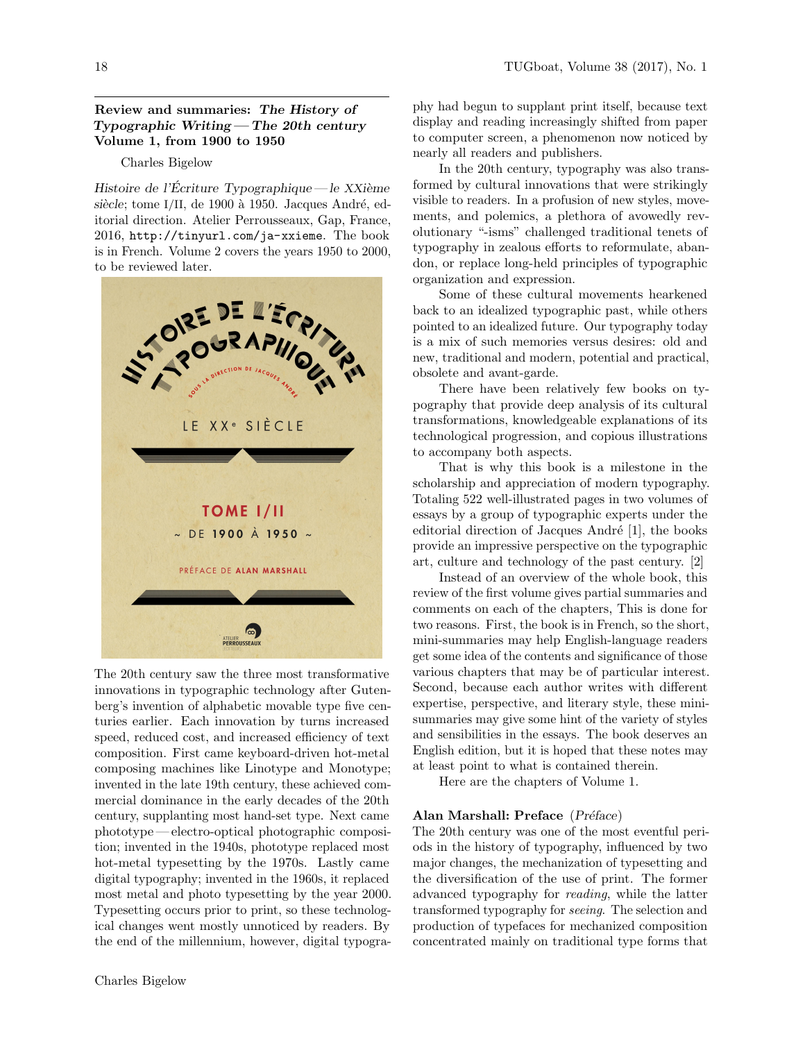## Review and summaries: The History of Typographic Writing— The 20th century Volume 1, from 1900 to 1950

#### Charles Bigelow

Histoire de l'Écriture Typographique— le  $XXi$ ème siècle; tome I/II, de 1900 à 1950. Jacques André, editorial direction. Atelier Perrousseaux, Gap, France, 2016, http://tinyurl.com/ja-xxieme. The book is in French. Volume 2 covers the years 1950 to 2000, to be reviewed later.



The 20th century saw the three most transformative innovations in typographic technology after Gutenberg's invention of alphabetic movable type five centuries earlier. Each innovation by turns increased speed, reduced cost, and increased efficiency of text composition. First came keyboard-driven hot-metal composing machines like Linotype and Monotype; invented in the late 19th century, these achieved commercial dominance in the early decades of the 20th century, supplanting most hand-set type. Next came phototype— electro-optical photographic composition; invented in the 1940s, phototype replaced most hot-metal typesetting by the 1970s. Lastly came digital typography; invented in the 1960s, it replaced most metal and photo typesetting by the year 2000. Typesetting occurs prior to print, so these technological changes went mostly unnoticed by readers. By the end of the millennium, however, digital typography had begun to supplant print itself, because text display and reading increasingly shifted from paper to computer screen, a phenomenon now noticed by nearly all readers and publishers.

In the 20th century, typography was also transformed by cultural innovations that were strikingly visible to readers. In a profusion of new styles, movements, and polemics, a plethora of avowedly revolutionary "-isms" challenged traditional tenets of typography in zealous efforts to reformulate, abandon, or replace long-held principles of typographic organization and expression.

Some of these cultural movements hearkened back to an idealized typographic past, while others pointed to an idealized future. Our typography today is a mix of such memories versus desires: old and new, traditional and modern, potential and practical, obsolete and avant-garde.

There have been relatively few books on typography that provide deep analysis of its cultural transformations, knowledgeable explanations of its technological progression, and copious illustrations to accompany both aspects.

That is why this book is a milestone in the scholarship and appreciation of modern typography. Totaling 522 well-illustrated pages in two volumes of essays by a group of typographic experts under the editorial direction of Jacques André [1], the books provide an impressive perspective on the typographic art, culture and technology of the past century. [2]

Instead of an overview of the whole book, this review of the first volume gives partial summaries and comments on each of the chapters, This is done for two reasons. First, the book is in French, so the short, mini-summaries may help English-language readers get some idea of the contents and significance of those various chapters that may be of particular interest. Second, because each author writes with different expertise, perspective, and literary style, these minisummaries may give some hint of the variety of styles and sensibilities in the essays. The book deserves an English edition, but it is hoped that these notes may at least point to what is contained therein.

Here are the chapters of Volume 1.

#### Alan Marshall: Preface (Préface)

The 20th century was one of the most eventful periods in the history of typography, influenced by two major changes, the mechanization of typesetting and the diversification of the use of print. The former advanced typography for reading, while the latter transformed typography for seeing. The selection and production of typefaces for mechanized composition concentrated mainly on traditional type forms that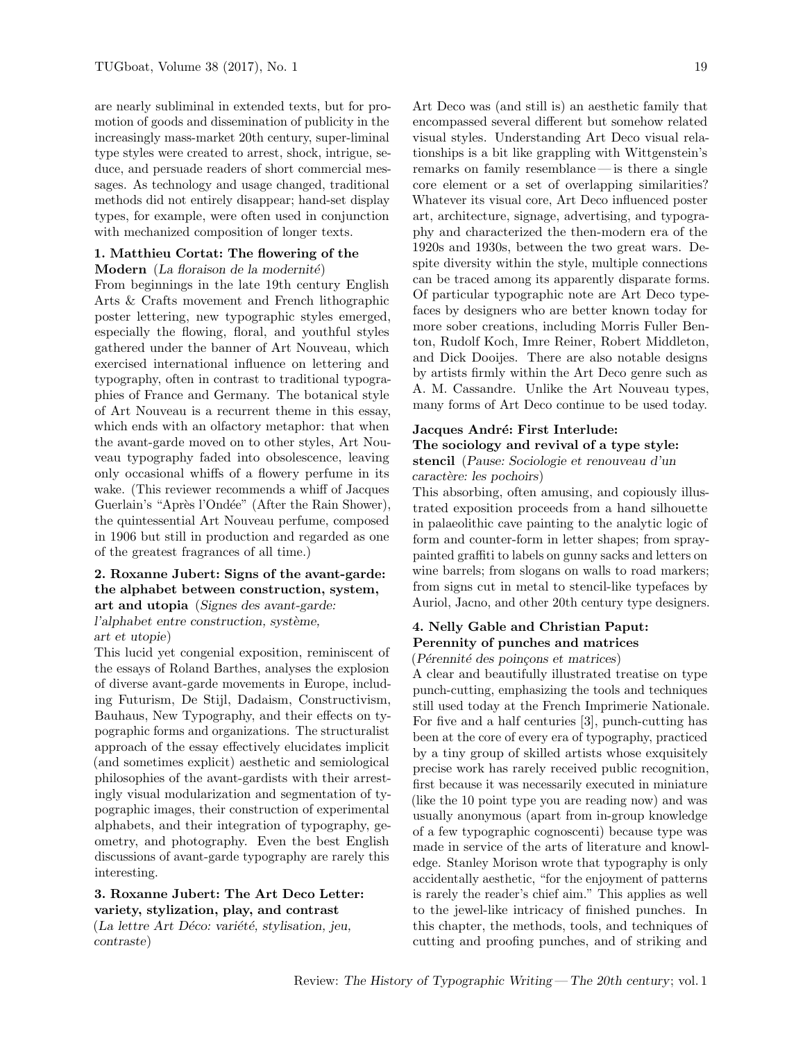are nearly subliminal in extended texts, but for promotion of goods and dissemination of publicity in the increasingly mass-market 20th century, super-liminal type styles were created to arrest, shock, intrigue, seduce, and persuade readers of short commercial messages. As technology and usage changed, traditional methods did not entirely disappear; hand-set display types, for example, were often used in conjunction with mechanized composition of longer texts.

#### 1. Matthieu Cortat: The flowering of the Modern  $(La \text{ foraison de la modernité})$

From beginnings in the late 19th century English Arts & Crafts movement and French lithographic poster lettering, new typographic styles emerged, especially the flowing, floral, and youthful styles gathered under the banner of Art Nouveau, which exercised international influence on lettering and typography, often in contrast to traditional typographies of France and Germany. The botanical style of Art Nouveau is a recurrent theme in this essay, which ends with an olfactory metaphor: that when the avant-garde moved on to other styles, Art Nouveau typography faded into obsolescence, leaving only occasional whiffs of a flowery perfume in its wake. (This reviewer recommends a whiff of Jacques Guerlain's "Après l'Ondée" (After the Rain Shower), the quintessential Art Nouveau perfume, composed in 1906 but still in production and regarded as one of the greatest fragrances of all time.)

#### 2. Roxanne Jubert: Signs of the avant-garde: the alphabet between construction, system, art and utopia (Signes des avant-garde:

l'alphabet entre construction, système, art et utopie)

This lucid yet congenial exposition, reminiscent of the essays of Roland Barthes, analyses the explosion of diverse avant-garde movements in Europe, including Futurism, De Stijl, Dadaism, Constructivism, Bauhaus, New Typography, and their effects on typographic forms and organizations. The structuralist approach of the essay effectively elucidates implicit (and sometimes explicit) aesthetic and semiological philosophies of the avant-gardists with their arrestingly visual modularization and segmentation of typographic images, their construction of experimental alphabets, and their integration of typography, geometry, and photography. Even the best English discussions of avant-garde typography are rarely this interesting.

### 3. Roxanne Jubert: The Art Deco Letter: variety, stylization, play, and contrast

 $(La)$  lettre Art Déco: variété, stylisation, jeu, contraste)

Art Deco was (and still is) an aesthetic family that encompassed several different but somehow related visual styles. Understanding Art Deco visual relationships is a bit like grappling with Wittgenstein's remarks on family resemblance— is there a single core element or a set of overlapping similarities? Whatever its visual core, Art Deco influenced poster art, architecture, signage, advertising, and typography and characterized the then-modern era of the 1920s and 1930s, between the two great wars. Despite diversity within the style, multiple connections can be traced among its apparently disparate forms. Of particular typographic note are Art Deco typefaces by designers who are better known today for more sober creations, including Morris Fuller Benton, Rudolf Koch, Imre Reiner, Robert Middleton, and Dick Dooijes. There are also notable designs by artists firmly within the Art Deco genre such as A. M. Cassandre. Unlike the Art Nouveau types, many forms of Art Deco continue to be used today.

#### Jacques André: First Interlude:

### The sociology and revival of a type style: stencil (Pause: Sociologie et renouveau d'un caractère: les pochoirs)

This absorbing, often amusing, and copiously illustrated exposition proceeds from a hand silhouette in palaeolithic cave painting to the analytic logic of form and counter-form in letter shapes; from spraypainted graffiti to labels on gunny sacks and letters on wine barrels; from slogans on walls to road markers; from signs cut in metal to stencil-like typefaces by Auriol, Jacno, and other 20th century type designers.

# 4. Nelly Gable and Christian Paput: Perennity of punches and matrices

### $(Pérennité des poincons et matrices)$

A clear and beautifully illustrated treatise on type punch-cutting, emphasizing the tools and techniques still used today at the French Imprimerie Nationale. For five and a half centuries [3], punch-cutting has been at the core of every era of typography, practiced by a tiny group of skilled artists whose exquisitely precise work has rarely received public recognition, first because it was necessarily executed in miniature (like the 10 point type you are reading now) and was usually anonymous (apart from in-group knowledge of a few typographic cognoscenti) because type was made in service of the arts of literature and knowledge. Stanley Morison wrote that typography is only accidentally aesthetic, "for the enjoyment of patterns is rarely the reader's chief aim." This applies as well to the jewel-like intricacy of finished punches. In this chapter, the methods, tools, and techniques of cutting and proofing punches, and of striking and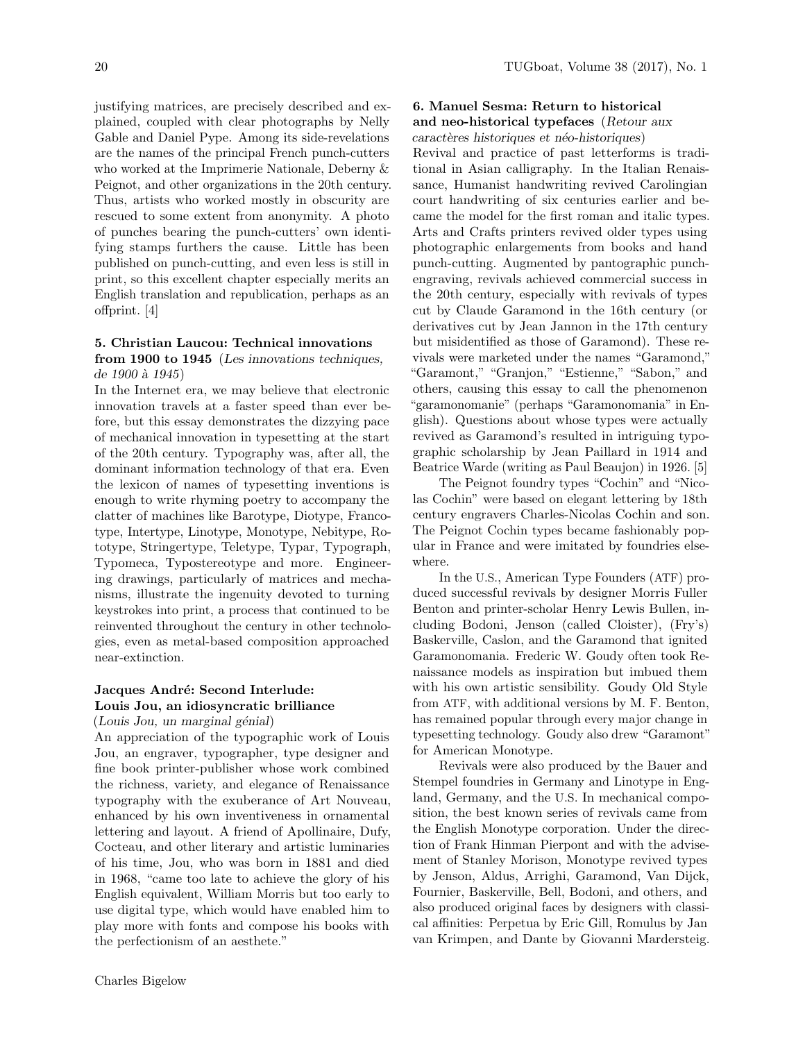justifying matrices, are precisely described and explained, coupled with clear photographs by Nelly Gable and Daniel Pype. Among its side-revelations are the names of the principal French punch-cutters who worked at the Imprimerie Nationale, Deberny & Peignot, and other organizations in the 20th century. Thus, artists who worked mostly in obscurity are rescued to some extent from anonymity. A photo of punches bearing the punch-cutters' own identifying stamps furthers the cause. Little has been published on punch-cutting, and even less is still in print, so this excellent chapter especially merits an English translation and republication, perhaps as an offprint. [4]

### 5. Christian Laucou: Technical innovations from 1900 to 1945 (Les innovations techniques, de 1900 à 1945)

In the Internet era, we may believe that electronic innovation travels at a faster speed than ever before, but this essay demonstrates the dizzying pace of mechanical innovation in typesetting at the start of the 20th century. Typography was, after all, the dominant information technology of that era. Even the lexicon of names of typesetting inventions is enough to write rhyming poetry to accompany the clatter of machines like Barotype, Diotype, Francotype, Intertype, Linotype, Monotype, Nebitype, Rototype, Stringertype, Teletype, Typar, Typograph, Typomeca, Typostereotype and more. Engineering drawings, particularly of matrices and mechanisms, illustrate the ingenuity devoted to turning keystrokes into print, a process that continued to be reinvented throughout the century in other technologies, even as metal-based composition approached near-extinction.

## Jacques André: Second Interlude: Louis Jou, an idiosyncratic brilliance

### $(Louis Jou, un marginal  $génial$ )$

An appreciation of the typographic work of Louis Jou, an engraver, typographer, type designer and fine book printer-publisher whose work combined the richness, variety, and elegance of Renaissance typography with the exuberance of Art Nouveau, enhanced by his own inventiveness in ornamental lettering and layout. A friend of Apollinaire, Dufy, Cocteau, and other literary and artistic luminaries of his time, Jou, who was born in 1881 and died in 1968, "came too late to achieve the glory of his English equivalent, William Morris but too early to use digital type, which would have enabled him to play more with fonts and compose his books with the perfectionism of an aesthete."

## 6. Manuel Sesma: Return to historical and neo-historical typefaces (Retour aux caractères historiques et néo-historiques)

Revival and practice of past letterforms is traditional in Asian calligraphy. In the Italian Renaissance, Humanist handwriting revived Carolingian court handwriting of six centuries earlier and became the model for the first roman and italic types. Arts and Crafts printers revived older types using photographic enlargements from books and hand punch-cutting. Augmented by pantographic punchengraving, revivals achieved commercial success in the 20th century, especially with revivals of types cut by Claude Garamond in the 16th century (or derivatives cut by Jean Jannon in the 17th century but misidentified as those of Garamond). These revivals were marketed under the names "Garamond," "Garamont," "Granjon," "Estienne," "Sabon," and others, causing this essay to call the phenomenon "garamonomanie" (perhaps "Garamonomania" in English). Questions about whose types were actually revived as Garamond's resulted in intriguing typographic scholarship by Jean Paillard in 1914 and Beatrice Warde (writing as Paul Beaujon) in 1926. [5]

The Peignot foundry types "Cochin" and "Nicolas Cochin" were based on elegant lettering by 18th century engravers Charles-Nicolas Cochin and son. The Peignot Cochin types became fashionably popular in France and were imitated by foundries elsewhere.

In the U.S., American Type Founders (ATF) produced successful revivals by designer Morris Fuller Benton and printer-scholar Henry Lewis Bullen, including Bodoni, Jenson (called Cloister), (Fry's) Baskerville, Caslon, and the Garamond that ignited Garamonomania. Frederic W. Goudy often took Renaissance models as inspiration but imbued them with his own artistic sensibility. Goudy Old Style from ATF, with additional versions by M. F. Benton, has remained popular through every major change in typesetting technology. Goudy also drew "Garamont" for American Monotype.

Revivals were also produced by the Bauer and Stempel foundries in Germany and Linotype in England, Germany, and the U.S. In mechanical composition, the best known series of revivals came from the English Monotype corporation. Under the direction of Frank Hinman Pierpont and with the advisement of Stanley Morison, Monotype revived types by Jenson, Aldus, Arrighi, Garamond, Van Dijck, Fournier, Baskerville, Bell, Bodoni, and others, and also produced original faces by designers with classical affinities: Perpetua by Eric Gill, Romulus by Jan van Krimpen, and Dante by Giovanni Mardersteig.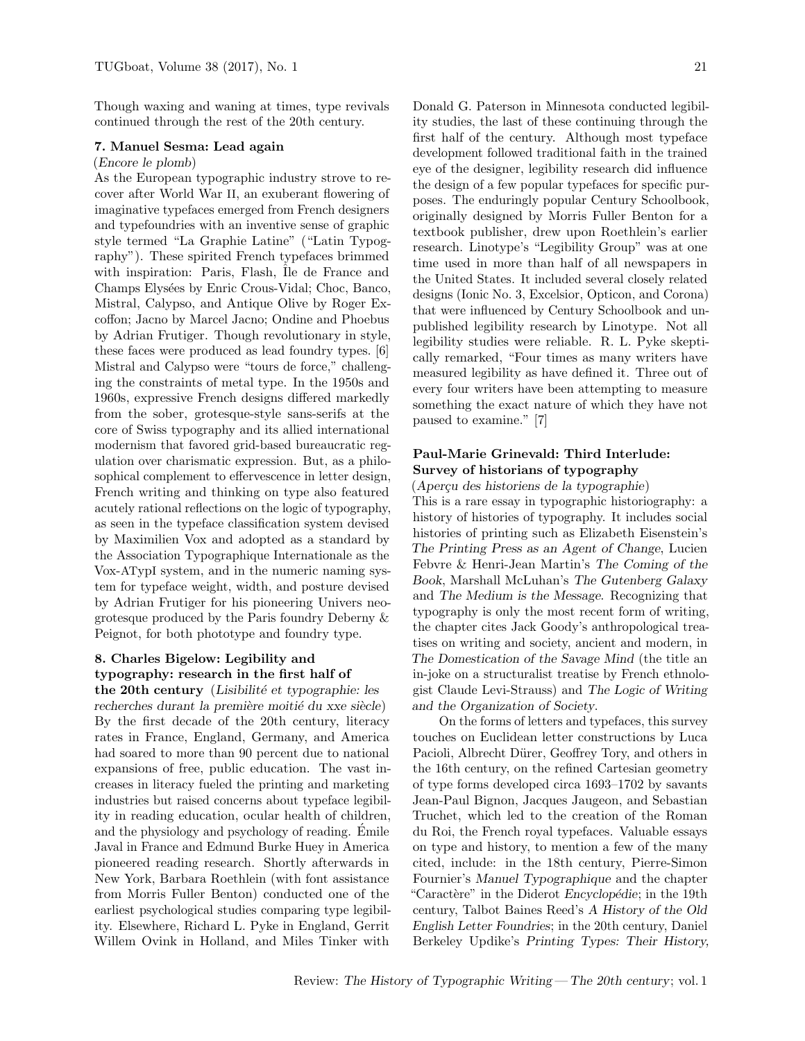Though waxing and waning at times, type revivals continued through the rest of the 20th century.

### 7. Manuel Sesma: Lead again

#### (Encore le plomb)

As the European typographic industry strove to recover after World War II, an exuberant flowering of imaginative typefaces emerged from French designers and typefoundries with an inventive sense of graphic style termed "La Graphie Latine" ("Latin Typography"). These spirited French typefaces brimmed with inspiration: Paris, Flash, Ile de France and Champs Elysées by Enric Crous-Vidal; Choc, Banco, Mistral, Calypso, and Antique Olive by Roger Excoffon; Jacno by Marcel Jacno; Ondine and Phoebus by Adrian Frutiger. Though revolutionary in style, these faces were produced as lead foundry types. [6] Mistral and Calypso were "tours de force," challenging the constraints of metal type. In the 1950s and 1960s, expressive French designs differed markedly from the sober, grotesque-style sans-serifs at the core of Swiss typography and its allied international modernism that favored grid-based bureaucratic regulation over charismatic expression. But, as a philosophical complement to effervescence in letter design, French writing and thinking on type also featured acutely rational reflections on the logic of typography, as seen in the typeface classification system devised by Maximilien Vox and adopted as a standard by the Association Typographique Internationale as the Vox-ATypI system, and in the numeric naming system for typeface weight, width, and posture devised by Adrian Frutiger for his pioneering Univers neogrotesque produced by the Paris foundry Deberny & Peignot, for both phototype and foundry type.

# 8. Charles Bigelow: Legibility and typography: research in the first half of

the  $20$ th century (Lisibilité et typographie: les recherches durant la première moitié du xxe siècle) By the first decade of the 20th century, literacy rates in France, England, Germany, and America had soared to more than 90 percent due to national expansions of free, public education. The vast increases in literacy fueled the printing and marketing industries but raised concerns about typeface legibility in reading education, ocular health of children, and the physiology and psychology of reading. Emile Javal in France and Edmund Burke Huey in America pioneered reading research. Shortly afterwards in New York, Barbara Roethlein (with font assistance from Morris Fuller Benton) conducted one of the earliest psychological studies comparing type legibility. Elsewhere, Richard L. Pyke in England, Gerrit Willem Ovink in Holland, and Miles Tinker with

Donald G. Paterson in Minnesota conducted legibility studies, the last of these continuing through the first half of the century. Although most typeface development followed traditional faith in the trained eye of the designer, legibility research did influence the design of a few popular typefaces for specific purposes. The enduringly popular Century Schoolbook, originally designed by Morris Fuller Benton for a textbook publisher, drew upon Roethlein's earlier research. Linotype's "Legibility Group" was at one time used in more than half of all newspapers in the United States. It included several closely related designs (Ionic No. 3, Excelsior, Opticon, and Corona) that were influenced by Century Schoolbook and unpublished legibility research by Linotype. Not all legibility studies were reliable. R. L. Pyke skeptically remarked, "Four times as many writers have measured legibility as have defined it. Three out of every four writers have been attempting to measure something the exact nature of which they have not paused to examine." [7]

## Paul-Marie Grinevald: Third Interlude: Survey of historians of typography

(Aperçu des historiens de la typographie)

This is a rare essay in typographic historiography: a history of histories of typography. It includes social histories of printing such as Elizabeth Eisenstein's The Printing Press as an Agent of Change, Lucien Febvre & Henri-Jean Martin's The Coming of the Book, Marshall McLuhan's The Gutenberg Galaxy and The Medium is the Message. Recognizing that typography is only the most recent form of writing, the chapter cites Jack Goody's anthropological treatises on writing and society, ancient and modern, in The Domestication of the Savage Mind (the title an in-joke on a structuralist treatise by French ethnologist Claude Levi-Strauss) and The Logic of Writing and the Organization of Society.

On the forms of letters and typefaces, this survey touches on Euclidean letter constructions by Luca Pacioli, Albrecht Dürer, Geoffrey Tory, and others in the 16th century, on the refined Cartesian geometry of type forms developed circa 1693–1702 by savants Jean-Paul Bignon, Jacques Jaugeon, and Sebastian Truchet, which led to the creation of the Roman du Roi, the French royal typefaces. Valuable essays on type and history, to mention a few of the many cited, include: in the 18th century, Pierre-Simon Fournier's Manuel Typographique and the chapter "Caractère" in the Diderot Encyclopédie; in the 19th century, Talbot Baines Reed's A History of the Old English Letter Foundries; in the 20th century, Daniel Berkeley Updike's Printing Types: Their History,